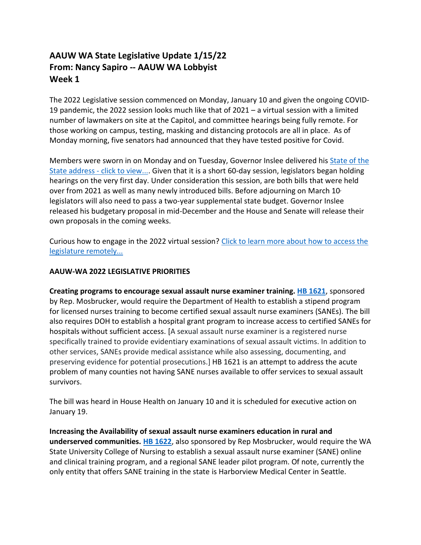## **AAUW WA State Legislative Update 1/15/22 From: Nancy Sapiro -- AAUW WA Lobbyist Week 1**

The 2022 Legislative session commenced on Monday, January 10 and given the ongoing COVID-19 pandemic, the 2022 session looks much like that of 2021 – a virtual session with a limited number of lawmakers on site at the Capitol, and committee hearings being fully remote. For those working on campus, testing, masking and distancing protocols are all in place. As of Monday morning, five senators had announced that they have tested positive for Covid.

Members were sworn in on Monday and on Tuesday, Governor Inslee delivered his [State of the](https://tvw.org/video/joint-legislative-session-governor-inslee-state-of-the-state-address-2022011130/?eventID=2022011130)  [State address -](https://tvw.org/video/joint-legislative-session-governor-inslee-state-of-the-state-address-2022011130/?eventID=2022011130) click to view.... Given that it is a short 60-day session, legislators began holding hearings on the very first day. Under consideration this session, are both bills that were held over from 2021 as well as many newly introduced bills. Before adjourning on March 10<sup>,</sup> legislators will also need to pass a two-year supplemental state budget. Governor Inslee released his budgetary proposal in mid-December and the House and Senate will release their own proposals in the coming weeks.

Curious how to engage in the 2022 virtual session? Click to learn more about how to access the [legislature remotely...](https://leg.wa.gov/LIC/Documents/2022%20Remotely%20Accessing%20the%20Legislature%20.pdf)

## **AAUW-WA 2022 LEGISLATIVE PRIORITIES**

**Creating programs to encourage sexual assault nurse examiner training. [HB 1621](https://app.leg.wa.gov/billsummary?BillNumber=1621&Year=2021&Initiative=false)**, sponsored by Rep. Mosbrucker, would require the Department of Health to establish a stipend program for licensed nurses training to become certified sexual assault nurse examiners (SANEs). The bill also requires DOH to establish a hospital grant program to increase access to certified SANEs for hospitals without sufficient access. [A sexual assault nurse examiner is a registered nurse specifically trained to provide evidentiary examinations of sexual assault victims. In addition to other services, SANEs provide medical assistance while also assessing, documenting, and preserving evidence for potential prosecutions.] HB 1621 is an attempt to address the acute problem of many counties not having SANE nurses available to offer services to sexual assault survivors.

The bill was heard in House Health on January 10 and it is scheduled for executive action on January 19.

**Increasing the Availability of sexual assault nurse examiners education in rural and underserved communities. [HB 1622](https://app.leg.wa.gov/billsummary?BillNumber=1622&Initiative=false&Year=2021)**, also sponsored by Rep Mosbrucker, would require the WA State University College of Nursing to establish a sexual assault nurse examiner (SANE) online and clinical training program, and a regional SANE leader pilot program. Of note, currently the only entity that offers SANE training in the state is Harborview Medical Center in Seattle.